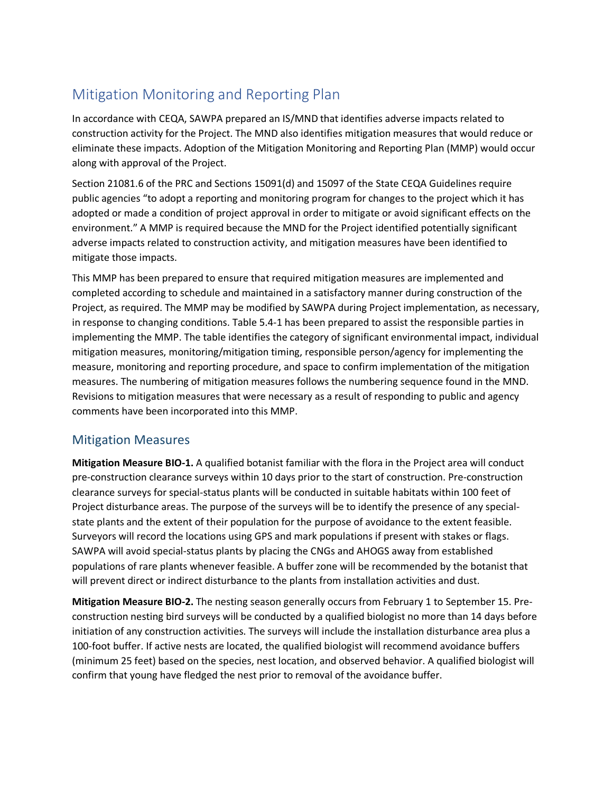## Mitigation Monitoring and Reporting Plan

In accordance with CEQA, SAWPA prepared an IS/MND that identifies adverse impacts related to construction activity for the Project. The MND also identifies mitigation measures that would reduce or eliminate these impacts. Adoption of the Mitigation Monitoring and Reporting Plan (MMP) would occur along with approval of the Project.

Section 21081.6 of the PRC and Sections 15091(d) and 15097 of the State CEQA Guidelines require public agencies "to adopt a reporting and monitoring program for changes to the project which it has adopted or made a condition of project approval in order to mitigate or avoid significant effects on the environment." A MMP is required because the MND for the Project identified potentially significant adverse impacts related to construction activity, and mitigation measures have been identified to mitigate those impacts.

 completed according to schedule and maintained in a satisfactory manner during construction of the measures. The numbering of mitigation measures follows the numbering sequence found in the MND. This MMP has been prepared to ensure that required mitigation measures are implemented and Project, as required. The MMP may be modified by SAWPA during Project implementation, as necessary, in response to changing conditions. Table 5.4-1 has been prepared to assist the responsible parties in implementing the MMP. The table identifies the category of significant environmental impact, individual mitigation measures, monitoring/mitigation timing, responsible person/agency for implementing the measure, monitoring and reporting procedure, and space to confirm implementation of the mitigation Revisions to mitigation measures that were necessary as a result of responding to public and agency comments have been incorporated into this MMP.

## Mitigation Measures

 will prevent direct or indirect disturbance to the plants from installation activities and dust. **Mitigation Measure BIO-1.** A qualified botanist familiar with the flora in the Project area will conduct pre-construction clearance surveys within 10 days prior to the start of construction. Pre-construction clearance surveys for special-status plants will be conducted in suitable habitats within 100 feet of Project disturbance areas. The purpose of the surveys will be to identify the presence of any specialstate plants and the extent of their population for the purpose of avoidance to the extent feasible. Surveyors will record the locations using GPS and mark populations if present with stakes or flags. SAWPA will avoid special-status plants by placing the CNGs and AHOGS away from established populations of rare plants whenever feasible. A buffer zone will be recommended by the botanist that

 construction nesting bird surveys will be conducted by a qualified biologist no more than 14 days before **Mitigation Measure BIO-2.** The nesting season generally occurs from February 1 to September 15. Preinitiation of any construction activities. The surveys will include the installation disturbance area plus a 100-foot buffer. If active nests are located, the qualified biologist will recommend avoidance buffers (minimum 25 feet) based on the species, nest location, and observed behavior. A qualified biologist will confirm that young have fledged the nest prior to removal of the avoidance buffer.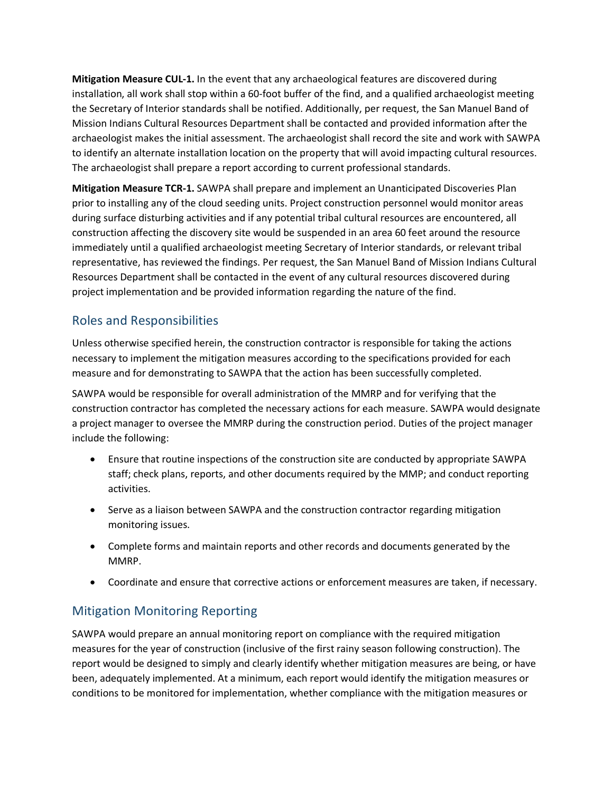**Mitigation Measure CUL-1.** In the event that any archaeological features are discovered during installation, all work shall stop within a 60-foot buffer of the find, and a qualified archaeologist meeting the Secretary of Interior standards shall be notified. Additionally, per request, the San Manuel Band of Mission Indians Cultural Resources Department shall be contacted and provided information after the archaeologist makes the initial assessment. The archaeologist shall record the site and work with SAWPA to identify an alternate installation location on the property that will avoid impacting cultural resources. The archaeologist shall prepare a report according to current professional standards.

 Resources Department shall be contacted in the event of any cultural resources discovered during **Mitigation Measure TCR-1.** SAWPA shall prepare and implement an Unanticipated Discoveries Plan prior to installing any of the cloud seeding units. Project construction personnel would monitor areas during surface disturbing activities and if any potential tribal cultural resources are encountered, all construction affecting the discovery site would be suspended in an area 60 feet around the resource immediately until a qualified archaeologist meeting Secretary of Interior standards, or relevant tribal representative, has reviewed the findings. Per request, the San Manuel Band of Mission Indians Cultural project implementation and be provided information regarding the nature of the find.

## Roles and Responsibilities

Unless otherwise specified herein, the construction contractor is responsible for taking the actions necessary to implement the mitigation measures according to the specifications provided for each measure and for demonstrating to SAWPA that the action has been successfully completed.

SAWPA would be responsible for overall administration of the MMRP and for verifying that the construction contractor has completed the necessary actions for each measure. SAWPA would designate a project manager to oversee the MMRP during the construction period. Duties of the project manager include the following:

- activities. • Ensure that routine inspections of the construction site are conducted by appropriate SAWPA staff; check plans, reports, and other documents required by the MMP; and conduct reporting
- monitoring issues. • Serve as a liaison between SAWPA and the construction contractor regarding mitigation
- MMRP. • Complete forms and maintain reports and other records and documents generated by the
- Coordinate and ensure that corrective actions or enforcement measures are taken, if necessary. Mitigation Monitoring Reporting

SAWPA would prepare an annual monitoring report on compliance with the required mitigation measures for the year of construction (inclusive of the first rainy season following construction). The report would be designed to simply and clearly identify whether mitigation measures are being, or have been, adequately implemented. At a minimum, each report would identify the mitigation measures or conditions to be monitored for implementation, whether compliance with the mitigation measures or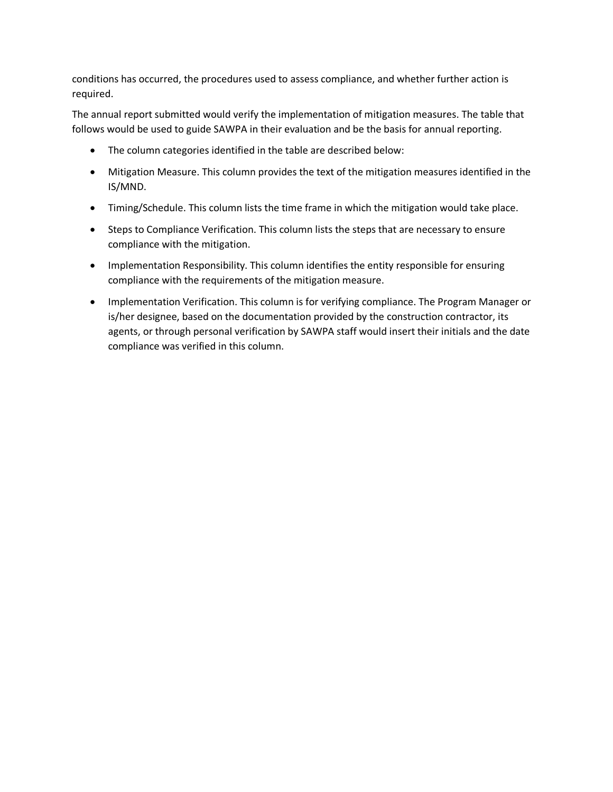conditions has occurred, the procedures used to assess compliance, and whether further action is required.

The annual report submitted would verify the implementation of mitigation measures. The table that follows would be used to guide SAWPA in their evaluation and be the basis for annual reporting.

- The column categories identified in the table are described below:
- Mitigation Measure. This column provides the text of the mitigation measures identified in the IS/MND.
- Timing/Schedule. This column lists the time frame in which the mitigation would take place.
- Steps to Compliance Verification. This column lists the steps that are necessary to ensure compliance with the mitigation.
- Implementation Responsibility. This column identifies the entity responsible for ensuring compliance with the requirements of the mitigation measure.
- compliance was verified in this column. • Implementation Verification. This column is for verifying compliance. The Program Manager or is/her designee, based on the documentation provided by the construction contractor, its agents, or through personal verification by SAWPA staff would insert their initials and the date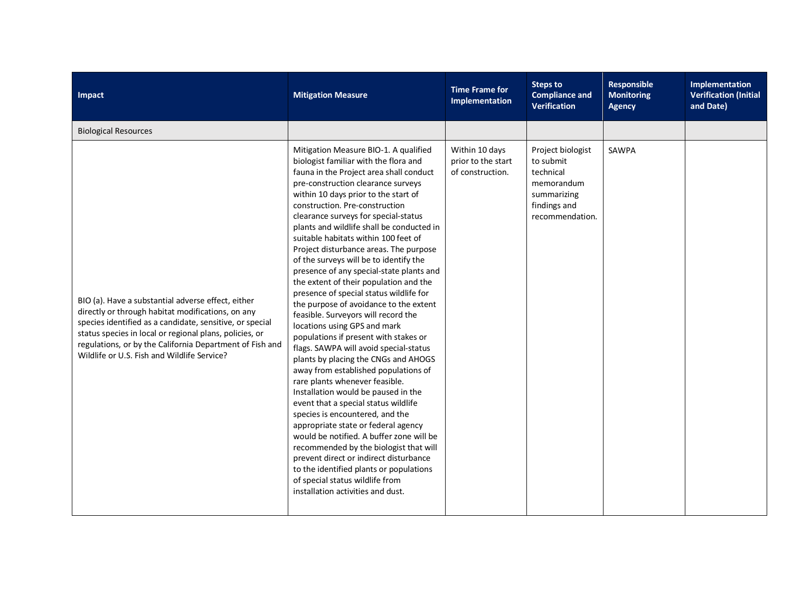| Impact                                                                                                                                                                                                                                                                                                                                    | <b>Mitigation Measure</b>                                                                                                                                                                                                                                                                                                                                                                                                                                                                                                                                                                                                                                                                                                                                                                                                                                                                                                                                                                                                                                                                                                                                                                                                                                                                                                     | <b>Time Frame for</b><br>Implementation                  | <b>Steps to</b><br><b>Compliance and</b><br><b>Verification</b>                                             | <b>Responsible</b><br><b>Monitoring</b><br><b>Agency</b> | Implementation<br><b>Verification (Initial</b><br>and Date) |
|-------------------------------------------------------------------------------------------------------------------------------------------------------------------------------------------------------------------------------------------------------------------------------------------------------------------------------------------|-------------------------------------------------------------------------------------------------------------------------------------------------------------------------------------------------------------------------------------------------------------------------------------------------------------------------------------------------------------------------------------------------------------------------------------------------------------------------------------------------------------------------------------------------------------------------------------------------------------------------------------------------------------------------------------------------------------------------------------------------------------------------------------------------------------------------------------------------------------------------------------------------------------------------------------------------------------------------------------------------------------------------------------------------------------------------------------------------------------------------------------------------------------------------------------------------------------------------------------------------------------------------------------------------------------------------------|----------------------------------------------------------|-------------------------------------------------------------------------------------------------------------|----------------------------------------------------------|-------------------------------------------------------------|
| <b>Biological Resources</b>                                                                                                                                                                                                                                                                                                               |                                                                                                                                                                                                                                                                                                                                                                                                                                                                                                                                                                                                                                                                                                                                                                                                                                                                                                                                                                                                                                                                                                                                                                                                                                                                                                                               |                                                          |                                                                                                             |                                                          |                                                             |
| BIO (a). Have a substantial adverse effect, either<br>directly or through habitat modifications, on any<br>species identified as a candidate, sensitive, or special<br>status species in local or regional plans, policies, or<br>regulations, or by the California Department of Fish and<br>Wildlife or U.S. Fish and Wildlife Service? | Mitigation Measure BIO-1. A qualified<br>biologist familiar with the flora and<br>fauna in the Project area shall conduct<br>pre-construction clearance surveys<br>within 10 days prior to the start of<br>construction. Pre-construction<br>clearance surveys for special-status<br>plants and wildlife shall be conducted in<br>suitable habitats within 100 feet of<br>Project disturbance areas. The purpose<br>of the surveys will be to identify the<br>presence of any special-state plants and<br>the extent of their population and the<br>presence of special status wildlife for<br>the purpose of avoidance to the extent<br>feasible. Surveyors will record the<br>locations using GPS and mark<br>populations if present with stakes or<br>flags. SAWPA will avoid special-status<br>plants by placing the CNGs and AHOGS<br>away from established populations of<br>rare plants whenever feasible.<br>Installation would be paused in the<br>event that a special status wildlife<br>species is encountered, and the<br>appropriate state or federal agency<br>would be notified. A buffer zone will be<br>recommended by the biologist that will<br>prevent direct or indirect disturbance<br>to the identified plants or populations<br>of special status wildlife from<br>installation activities and dust. | Within 10 days<br>prior to the start<br>of construction. | Project biologist<br>to submit<br>technical<br>memorandum<br>summarizing<br>findings and<br>recommendation. | <b>SAWPA</b>                                             |                                                             |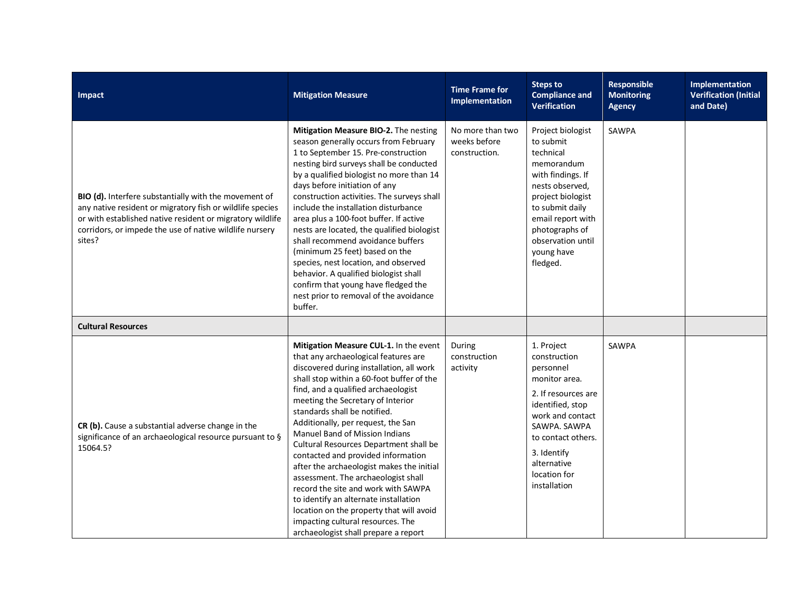| Impact                                                                                                                                                                                                                                               | <b>Mitigation Measure</b>                                                                                                                                                                                                                                                                                                                                                                                                                                                                                                                                                                                                                                                                                                                | <b>Time Frame for</b><br>Implementation           | <b>Steps to</b><br><b>Compliance and</b><br><b>Verification</b>                                                                                                                                                                 | Responsible<br><b>Monitoring</b><br><b>Agency</b> | Implementation<br><b>Verification (Initial</b><br>and Date) |
|------------------------------------------------------------------------------------------------------------------------------------------------------------------------------------------------------------------------------------------------------|------------------------------------------------------------------------------------------------------------------------------------------------------------------------------------------------------------------------------------------------------------------------------------------------------------------------------------------------------------------------------------------------------------------------------------------------------------------------------------------------------------------------------------------------------------------------------------------------------------------------------------------------------------------------------------------------------------------------------------------|---------------------------------------------------|---------------------------------------------------------------------------------------------------------------------------------------------------------------------------------------------------------------------------------|---------------------------------------------------|-------------------------------------------------------------|
| BIO (d). Interfere substantially with the movement of<br>any native resident or migratory fish or wildlife species<br>or with established native resident or migratory wildlife<br>corridors, or impede the use of native wildlife nursery<br>sites? | Mitigation Measure BIO-2. The nesting<br>season generally occurs from February<br>1 to September 15. Pre-construction<br>nesting bird surveys shall be conducted<br>by a qualified biologist no more than 14<br>days before initiation of any<br>construction activities. The surveys shall<br>include the installation disturbance<br>area plus a 100-foot buffer. If active<br>nests are located, the qualified biologist<br>shall recommend avoidance buffers<br>(minimum 25 feet) based on the<br>species, nest location, and observed<br>behavior. A qualified biologist shall<br>confirm that young have fledged the<br>nest prior to removal of the avoidance<br>buffer.                                                          | No more than two<br>weeks before<br>construction. | Project biologist<br>to submit<br>technical<br>memorandum<br>with findings. If<br>nests observed,<br>project biologist<br>to submit daily<br>email report with<br>photographs of<br>observation until<br>young have<br>fledged. | SAWPA                                             |                                                             |
| <b>Cultural Resources</b>                                                                                                                                                                                                                            |                                                                                                                                                                                                                                                                                                                                                                                                                                                                                                                                                                                                                                                                                                                                          |                                                   |                                                                                                                                                                                                                                 |                                                   |                                                             |
| CR (b). Cause a substantial adverse change in the<br>significance of an archaeological resource pursuant to §<br>15064.5?                                                                                                                            | Mitigation Measure CUL-1. In the event<br>that any archaeological features are<br>discovered during installation, all work<br>shall stop within a 60-foot buffer of the<br>find, and a qualified archaeologist<br>meeting the Secretary of Interior<br>standards shall be notified.<br>Additionally, per request, the San<br>Manuel Band of Mission Indians<br>Cultural Resources Department shall be<br>contacted and provided information<br>after the archaeologist makes the initial<br>assessment. The archaeologist shall<br>record the site and work with SAWPA<br>to identify an alternate installation<br>location on the property that will avoid<br>impacting cultural resources. The<br>archaeologist shall prepare a report | During<br>construction<br>activity                | 1. Project<br>construction<br>personnel<br>monitor area.<br>2. If resources are<br>identified, stop<br>work and contact<br>SAWPA, SAWPA<br>to contact others.<br>3. Identify<br>alternative<br>location for<br>installation     | SAWPA                                             |                                                             |